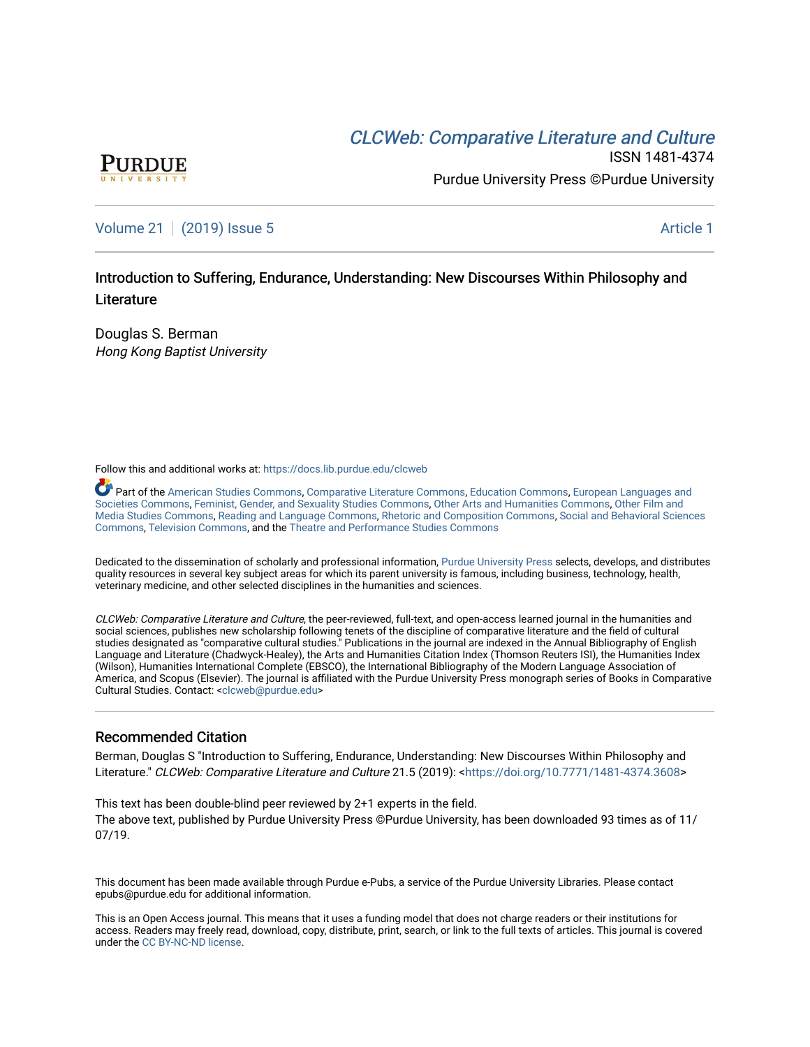## CLCW[eb: Comparative Liter](https://docs.lib.purdue.edu/clcweb)ature and Culture



ISSN 1481-4374 Purdue University Press ©Purdue University

## [Volume 21](https://docs.lib.purdue.edu/clcweb/vol21) | [\(2019\) Issue 5](https://docs.lib.purdue.edu/clcweb/vol21/iss5) Article 1

## Introduction to Suffering, Endurance, Understanding: New Discourses Within Philosophy and **Literature**

Douglas S. Berman Hong Kong Baptist University

Follow this and additional works at: [https://docs.lib.purdue.edu/clcweb](https://docs.lib.purdue.edu/clcweb?utm_source=docs.lib.purdue.edu%2Fclcweb%2Fvol21%2Fiss5%2F1&utm_medium=PDF&utm_campaign=PDFCoverPages)

Part of the [American Studies Commons](http://network.bepress.com/hgg/discipline/439?utm_source=docs.lib.purdue.edu%2Fclcweb%2Fvol21%2Fiss5%2F1&utm_medium=PDF&utm_campaign=PDFCoverPages), [Comparative Literature Commons,](http://network.bepress.com/hgg/discipline/454?utm_source=docs.lib.purdue.edu%2Fclcweb%2Fvol21%2Fiss5%2F1&utm_medium=PDF&utm_campaign=PDFCoverPages) [Education Commons,](http://network.bepress.com/hgg/discipline/784?utm_source=docs.lib.purdue.edu%2Fclcweb%2Fvol21%2Fiss5%2F1&utm_medium=PDF&utm_campaign=PDFCoverPages) [European Languages and](http://network.bepress.com/hgg/discipline/482?utm_source=docs.lib.purdue.edu%2Fclcweb%2Fvol21%2Fiss5%2F1&utm_medium=PDF&utm_campaign=PDFCoverPages) [Societies Commons](http://network.bepress.com/hgg/discipline/482?utm_source=docs.lib.purdue.edu%2Fclcweb%2Fvol21%2Fiss5%2F1&utm_medium=PDF&utm_campaign=PDFCoverPages), [Feminist, Gender, and Sexuality Studies Commons,](http://network.bepress.com/hgg/discipline/559?utm_source=docs.lib.purdue.edu%2Fclcweb%2Fvol21%2Fiss5%2F1&utm_medium=PDF&utm_campaign=PDFCoverPages) [Other Arts and Humanities Commons](http://network.bepress.com/hgg/discipline/577?utm_source=docs.lib.purdue.edu%2Fclcweb%2Fvol21%2Fiss5%2F1&utm_medium=PDF&utm_campaign=PDFCoverPages), [Other Film and](http://network.bepress.com/hgg/discipline/565?utm_source=docs.lib.purdue.edu%2Fclcweb%2Fvol21%2Fiss5%2F1&utm_medium=PDF&utm_campaign=PDFCoverPages)  [Media Studies Commons](http://network.bepress.com/hgg/discipline/565?utm_source=docs.lib.purdue.edu%2Fclcweb%2Fvol21%2Fiss5%2F1&utm_medium=PDF&utm_campaign=PDFCoverPages), [Reading and Language Commons](http://network.bepress.com/hgg/discipline/1037?utm_source=docs.lib.purdue.edu%2Fclcweb%2Fvol21%2Fiss5%2F1&utm_medium=PDF&utm_campaign=PDFCoverPages), [Rhetoric and Composition Commons,](http://network.bepress.com/hgg/discipline/573?utm_source=docs.lib.purdue.edu%2Fclcweb%2Fvol21%2Fiss5%2F1&utm_medium=PDF&utm_campaign=PDFCoverPages) [Social and Behavioral Sciences](http://network.bepress.com/hgg/discipline/316?utm_source=docs.lib.purdue.edu%2Fclcweb%2Fvol21%2Fiss5%2F1&utm_medium=PDF&utm_campaign=PDFCoverPages) [Commons,](http://network.bepress.com/hgg/discipline/316?utm_source=docs.lib.purdue.edu%2Fclcweb%2Fvol21%2Fiss5%2F1&utm_medium=PDF&utm_campaign=PDFCoverPages) [Television Commons,](http://network.bepress.com/hgg/discipline/1143?utm_source=docs.lib.purdue.edu%2Fclcweb%2Fvol21%2Fiss5%2F1&utm_medium=PDF&utm_campaign=PDFCoverPages) and the [Theatre and Performance Studies Commons](http://network.bepress.com/hgg/discipline/552?utm_source=docs.lib.purdue.edu%2Fclcweb%2Fvol21%2Fiss5%2F1&utm_medium=PDF&utm_campaign=PDFCoverPages)

Dedicated to the dissemination of scholarly and professional information, [Purdue University Press](http://www.thepress.purdue.edu/) selects, develops, and distributes quality resources in several key subject areas for which its parent university is famous, including business, technology, health, veterinary medicine, and other selected disciplines in the humanities and sciences.

CLCWeb: Comparative Literature and Culture, the peer-reviewed, full-text, and open-access learned journal in the humanities and social sciences, publishes new scholarship following tenets of the discipline of comparative literature and the field of cultural studies designated as "comparative cultural studies." Publications in the journal are indexed in the Annual Bibliography of English Language and Literature (Chadwyck-Healey), the Arts and Humanities Citation Index (Thomson Reuters ISI), the Humanities Index (Wilson), Humanities International Complete (EBSCO), the International Bibliography of the Modern Language Association of America, and Scopus (Elsevier). The journal is affiliated with the Purdue University Press monograph series of Books in Comparative Cultural Studies. Contact: [<clcweb@purdue.edu](mailto:clcweb@purdue.edu)>

## Recommended Citation

Berman, Douglas S "Introduction to Suffering, Endurance, Understanding: New Discourses Within Philosophy and Literature." CLCWeb: Comparative Literature and Culture 21.5 (2019): <<https://doi.org/10.7771/1481-4374.3608>>

This text has been double-blind peer reviewed by 2+1 experts in the field. The above text, published by Purdue University Press ©Purdue University, has been downloaded 93 times as of 11/ 07/19.

This document has been made available through Purdue e-Pubs, a service of the Purdue University Libraries. Please contact epubs@purdue.edu for additional information.

This is an Open Access journal. This means that it uses a funding model that does not charge readers or their institutions for access. Readers may freely read, download, copy, distribute, print, search, or link to the full texts of articles. This journal is covered under the [CC BY-NC-ND license.](https://creativecommons.org/licenses/by-nc-nd/4.0/)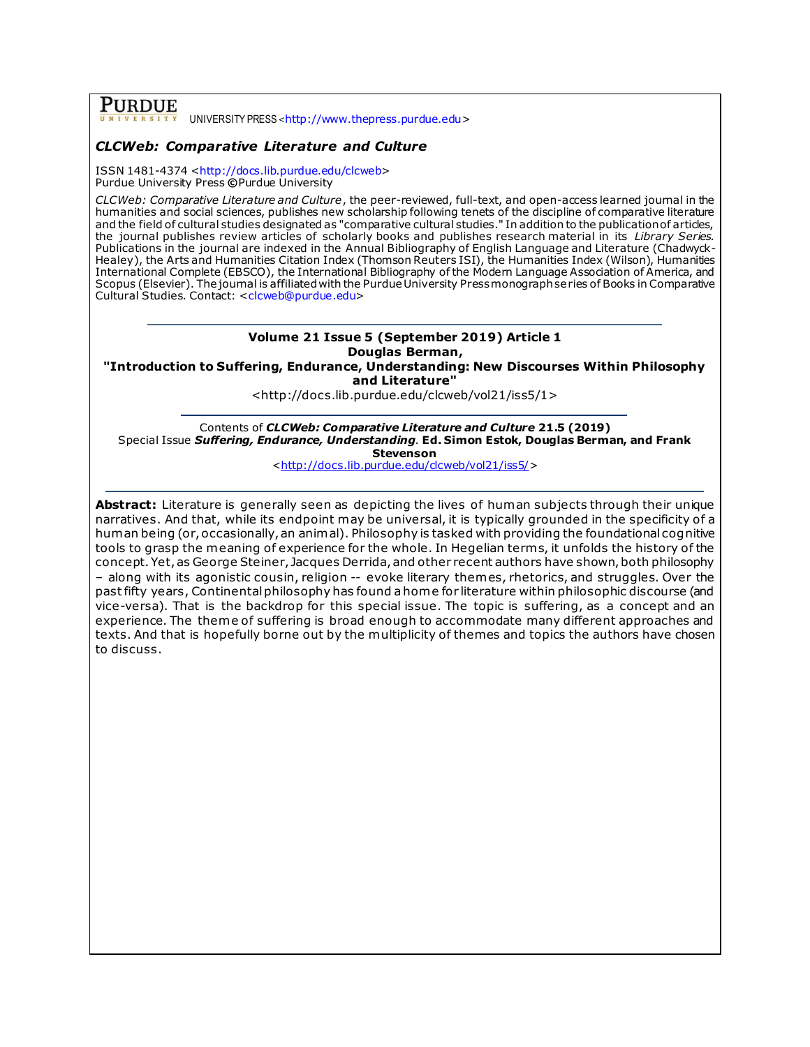# **PURDUE**

UNIVERSITY PRESS <[http://www.thepress.purdue.edu](http://www.thepress.purdue.edu/)>

## *CLCWeb: Comparative Literature and Culture*

ISSN 1481-4374 [<http://docs.lib.purdue.edu/clcweb](http://docs.lib.purdue.edu/clcweb)> Purdue University Press **©**Purdue University

*CLCWeb: Comparative Literature and Culture*, the peer-reviewed, full-text, and open-access learned journal in the humanities and social sciences, publishes new scholarship following tenets of the discipline of comparative literature and the field of cultural studies designated as "comparative cultural studies." In addition to the publication of articles, the journal publishes review articles of scholarly books and publishes research material in its *Library Series.*  Publications in the journal are indexed in the Annual Bibliography of English Language and Literature (Chadwyck-Healey), the Arts and Humanities Citation Index (Thomson Reuters ISI), the Humanities Index (Wilson), Humanities International Complete (EBSCO), the International Bibliography of the Modern Language Association of America, and Scopus (Elsevier). The journal is affiliated with the Purdue University Press monograph series of Books in Comparative Cultural Studies. Contact: [<clcweb@purdue.edu>](mailto:clcweb@purdue.edu)

## **Volume 21 Issue 5 (September 2019) Article 1 Douglas Berman,**

**"Introduction to Suffering, Endurance, Understanding: New Discourses Within Philosophy and Literature"**

<http://docs.lib.purdue.edu/clcweb/vol21/iss5/1>

Contents of *CLCWeb: Comparative Literature and Culture* **21.5 (2019)** Special Issue *Suffering, Endurance, Understanding*. **Ed. Simon Estok, Douglas Berman, and Frank Stevenson**

[<http://docs.lib.purdue.edu/clcweb/vol21/iss5/>](http://docs.lib.purdue.edu/clcweb/vol21/iss5/)

**Abstract:** Literature is generally seen as depicting the lives of human subjects through their unique narratives. And that, while its endpoint may be universal, it is typically grounded in the specificity of a human being (or, occasionally, an animal). Philosophy is tasked with providing the foundational cognitive tools to grasp the meaning of experience for the whole. In Hegelian term s, it unfolds the history of the concept. Yet, as George Steiner, Jacques Derrida, and other recent authors have shown, both philosophy – along with its agonistic cousin, religion -- evoke literary themes, rhetorics, and struggles. Over the past fifty years, Continental philosophy has found a home for literature within philosophic discourse (and vice-versa). That is the backdrop for this special issue. The topic is suffering, as a concept and an experience. The theme of suffering is broad enough to accommodate many different approaches and texts. And that is hopefully borne out by the multiplicity of themes and topics the authors have chosen to discuss.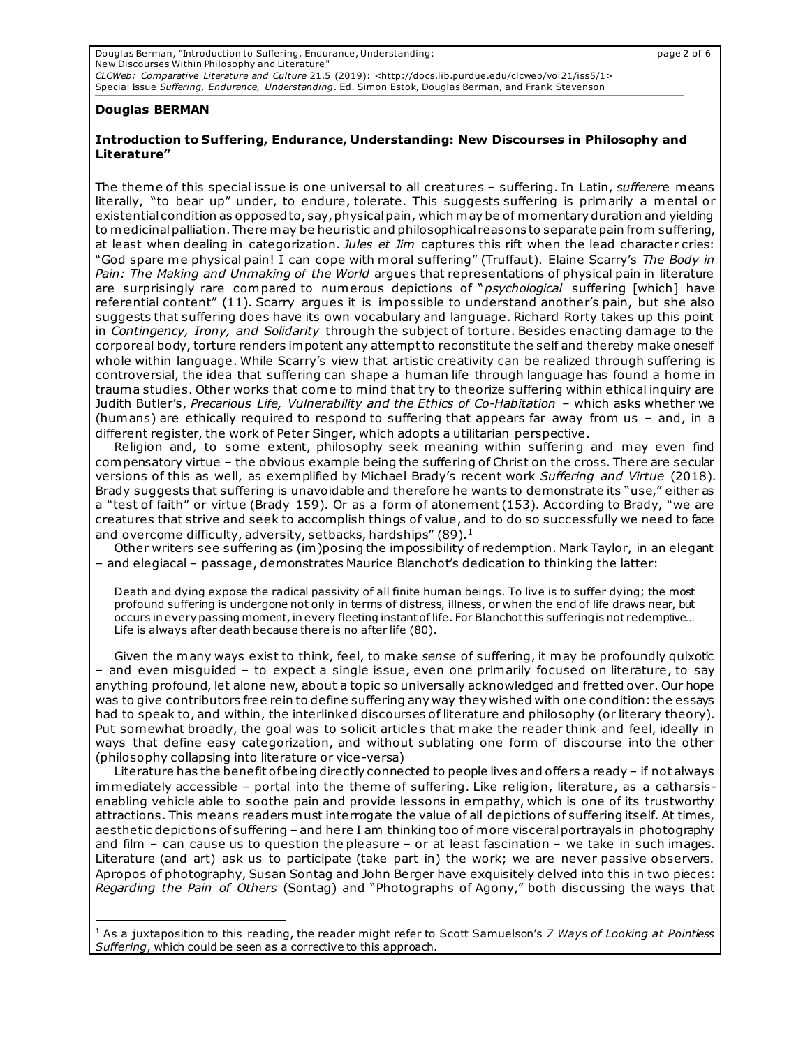Douglas Berman, "Introduction to Suffering, Endurance, Understanding: page 2 of 6 New Discourses Within Philosophy and Literature" *CLCWeb: Comparative Literature and Culture* 21.5 (2019): <http://docs.lib.purdue.edu/clcweb/vol21/iss5/1> Special Issue *Suffering, Endurance, Understanding*. Ed. Simon Estok, Douglas Berman, and Frank Stevenson

### **Douglas BERMAN**

### **Introduction to Suffering, Endurance, Understanding: New Discourses in Philosophy and Literature"**

The theme of this special issue is one universal to all creatures – suffering. In Latin, *sufferer*e means literally, "to bear up" under, to endure, tolerate. This suggests suffering is primarily a mental or existential condition as opposed to, say, physical pain, which may be of momentary duration and yielding to medicinal palliation. There may be heuristic and philosophical reasons to separate pain from suffering, at least when dealing in categorization. *Jules et Jim* captures this rift when the lead character cries: "God spare me physical pain! I can cope with moral suffering" (Truffaut). Elaine Scarry's *The Body in Pain: The Making and Unmaking of the World* argues that representations of physical pain in literature are surprisingly rare compared to numerous depictions of "*psychological* suffering [which] have referential content" (11). Scarry argues it is impossible to understand another's pain, but she also suggests that suffering does have its own vocabulary and language. Richard Rorty takes up this point in *Contingency, Irony, and Solidarity* through the subject of torture. Besides enacting damage to the corporeal body, torture renders impotent any attempt to reconstitute the self and thereby make oneself whole within language. While Scarry's view that artistic creativity can be realized through suffering is controversial, the idea that suffering can shape a human life through language has found a home in trauma studies. Other works that come to mind that try to theorize suffering within ethical inquiry are Judith Butler's, Precarious Life, Vulnerability and the Ethics of Co-Habitation - which asks whether we (humans) are ethically required to respond to suffering that appears far away from us – and, in a different register, the work of Peter Singer, which adopts a utilitarian perspective.

Religion and, to some extent, philosophy seek meaning within suffering and may even find compensatory virtue – the obvious example being the suffering of Christ on the cross. There are secular versions of this as well, as exemplified by Michael Brady's recent work *Suffering and Virtue* (2018). Brady suggests that suffering is unavoidable and therefore he wants to demonstrate its "use," either as a "test of faith" or virtue (Brady 159). Or as a form of atonement (153). According to Brady, "we are creatures that strive and seek to accomplish things of value, and to do so successfully we need to face and overcome difficulty, adversity, setbacks, hardships" (89).<sup>1</sup>

Other writers see suffering as (im)posing the impossibility of redemption. Mark Taylor, in an elegant – and elegiacal – passage, demonstrates Maurice Blanchot's dedication to thinking the latter:

Death and dying expose the radical passivity of all finite human beings. To live is to suffer dying; the most profound suffering is undergone not only in terms of distress, illness, or when the end of life draws near, but occurs in every passing moment, in every fleeting instant of life. For Blanchot this suffering is not redemptive… Life is always after death because there is no after life (80).

Given the many ways exist to think, feel, to make *sense* of suffering, it may be profoundly quixotic – and even misguided – to expect a single issue, even one primarily focused on literature, to say anything profound, let alone new, about a topic so universally acknowledged and fretted over. Our hope was to give contributors free rein to define suffering any way they wished with one condition: the essays had to speak to, and within, the interlinked discourses of literature and philosophy (or literary theory). Put somewhat broadly, the goal was to solicit articles that make the reader think and feel, ideally in ways that define easy categorization, and without sublating one form of discourse into the other (philosophy collapsing into literature or vice-versa)

Literature has the benefit of being directly connected to people lives and offers a ready – if not always immediately accessible – portal into the theme of suffering. Like religion, literature, as a catharsisenabling vehicle able to soothe pain and provide lessons in empathy, which is one of its trustworthy attractions. This means readers must interrogate the value of all depictions of suffering itself. At times, aesthetic depictions of suffering – and here I am thinking too of more visceral portrayals in photography and film – can cause us to question the pleasure – or at least fascination – we take in such images. Literature (and art) ask us to participate (take part in) the work; we are never passive observers. Apropos of photography, Susan Sontag and John Berger have exquisitely delved into this in two pieces: *Regarding the Pain of Others* (Sontag) and "Photographs of Agony," both discussing the ways that

<sup>1</sup> As a juxtaposition to this reading, the reader might refer to Scott Samuelson's *7 Ways of Looking at Pointless Suffering*, which could be seen as a corrective to this approach.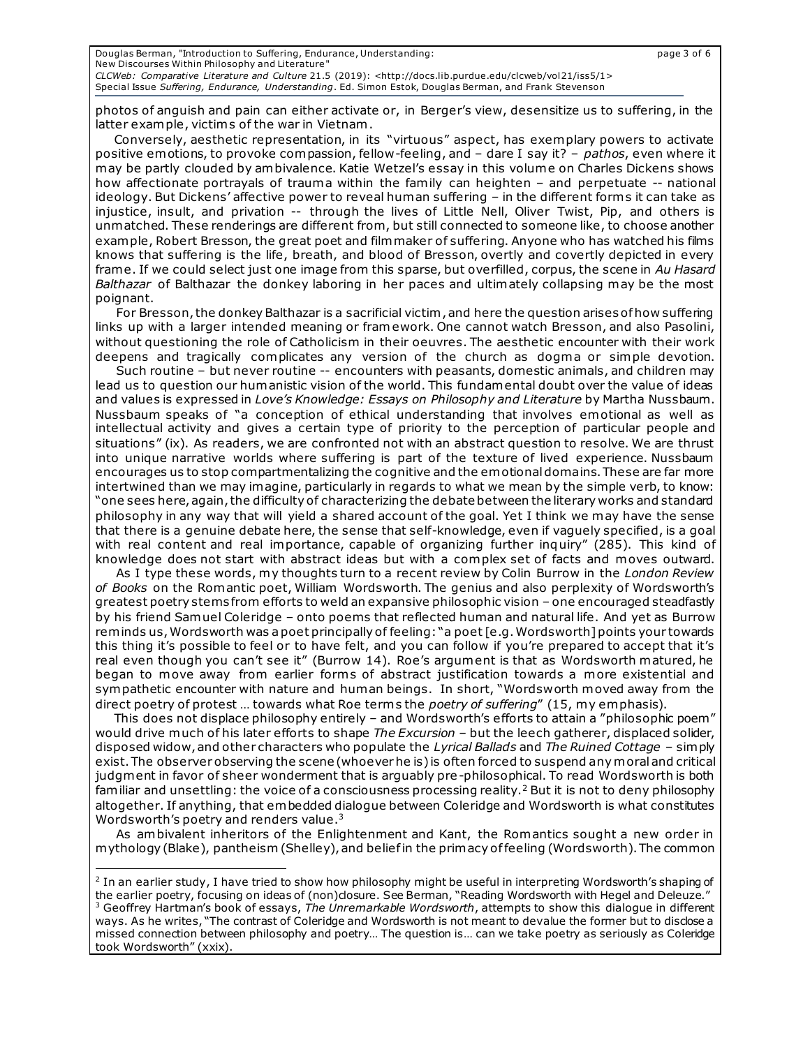| Douglas Berman, "Introduction to Suffering, Endurance, Understanding:                                   | page 3 of 6 |
|---------------------------------------------------------------------------------------------------------|-------------|
| New Discourses Within Philosophy and Literature"                                                        |             |
| $CLCWeb: Comparative Literature and Culture 21.5 (2019): $                                              |             |
| Special Issue Suffering, Endurance, Understanding. Ed. Simon Estok, Douglas Berman, and Frank Stevenson |             |

photos of anguish and pain can either activate or, in Berger's view, desensitize us to suffering, in the latter example, victims of the war in Vietnam.

Conversely, aesthetic representation, in its "virtuous" aspect, has exemplary powers to activate positive emotions, to provoke compassion, fellow-feeling, and – dare I say it? – *pathos*, even where it may be partly clouded by ambivalence. Katie Wetzel's essay in this volume on Charles Dickens shows how affectionate portrayals of trauma within the family can heighten – and perpetuate -- national ideology. But Dickens' affective power to reveal human suffering - in the different forms it can take as injustice, insult, and privation -- through the lives of Little Nell, Oliver Twist, Pip, and others is unmatched. These renderings are different from, but still connected to someone like, to choose another example, Robert Bresson, the great poet and filmmaker of suffering. Anyone who has watched his films knows that suffering is the life, breath, and blood of Bresson, overtly and covertly depicted in every frame. If we could select just one image from this sparse, but overfilled, corpus, the scene in *Au Hasard Balthazar* of Balthazar the donkey laboring in her paces and ultimately collapsing may be the most poignant.

 For Bresson, the donkey Balthazar is a sacrificial victim , and here the question arises of how suffering links up with a larger intended meaning or framework. One cannot watch Bresson, and also Pasolini, without questioning the role of Catholicism in their oeuvres. The aesthetic encounter with their work deepens and tragically complicates any version of the church as dogma or simple devotion.

 Such routine – but never routine -- encounters with peasants, domestic animals, and children may lead us to question our humanistic vision of the world. This fundamental doubt over the value of ideas and values is expressed in *Love's Knowledge: Essays on Philosophy and Literature* by Martha Nussbaum. Nussbaum speaks of "a conception of ethical understanding that involves emotional as well as intellectual activity and gives a certain type of priority to the perception of particular people and situations" (ix). As readers, we are confronted not with an abstract question to resolve. We are thrust into unique narrative worlds where suffering is part of the texture of lived experience. Nussbaum encourages us to stop compartmentalizing the cognitive and the emotional domains. These are far more intertwined than we may imagine, particularly in regards to what we mean by the simple verb, to know: "one sees here, again, the difficulty of characterizing the debate between the literary works and standard philosophy in any way that will yield a shared account of the goal. Yet I think we may have the sense that there is a genuine debate here, the sense that self-knowledge, even if vaguely specified, is a goal with real content and real importance, capable of organizing further inquiry" (285). This kind of knowledge does not start with abstract ideas but with a complex set of facts and moves outward.

 As I type these words, my thoughts turn to a recent review by Colin Burrow in the *London Review of Books* on the Romantic poet, William Wordsworth. The genius and also perplexity of Wordsworth's greatest poetry stems from efforts to weld an expansive philosophic vision – one encouraged steadfastly by his friend Samuel Coleridge – onto poems that reflected human and natural life. And yet as Burrow reminds us, Wordsworth was a poet principally of feeling: "a poet [e.g. Wordsworth] points your towards this thing it's possible to feel or to have felt, and you can follow if you're prepared to accept that it's real even though you can't see it" (Burrow 14). Roe's argument is that as Wordsworth matured, he began to move away from earlier forms of abstract justification towards a more existential and sympathetic encounter with nature and human beings. In short, "Wordsworth moved away from the direct poetry of protest … towards what Roe term s the *poetry of suffering*" (15, my emphasis).

This does not displace philosophy entirely – and Wordsworth's efforts to attain a "philosophic poem" would drive much of his later efforts to shape *The Excursion –* but the leech gatherer, displaced solider, disposed widow, and other characters who populate the *Lyrical Ballads* and *The Ruined Cottage* – simply exist. The observer observing the scene (whoever he is) is often forced to suspend any moral and critical judgment in favor of sheer wonderment that is arguably pre-philosophical. To read Wordsworth is both familiar and unsettling: the voice of a consciousness processing reality.<sup>2</sup> But it is not to deny philosophy altogether. If anything, that embedded dialogue between Coleridge and Wordsworth is what constitutes Wordsworth's poetry and renders value.<sup>3</sup>

As ambivalent inheritors of the Enlightenment and Kant, the Romantics sought a new order in mythology (Blake), pantheism (Shelley), and belief in the primacy of feeling (Wordsworth). The common

<sup>&</sup>lt;sup>2</sup> In an earlier study, I have tried to show how philosophy might be useful in interpreting Wordsworth's shaping of the earlier poetry, focusing on ideas of (non)closure. See Berman, "Reading Wordsworth with Hegel and Deleuze." <sup>3</sup> Geoffrey Hartman's book of essays, *The Unremarkable Wordsworth*, attempts to show this dialogue in different ways. As he writes, "The contrast of Coleridge and Wordsworth is not meant to devalue the former but to disclose a missed connection between philosophy and poetry… The question is… can we take poetry as seriously as Coleridge took Wordsworth" (xxix).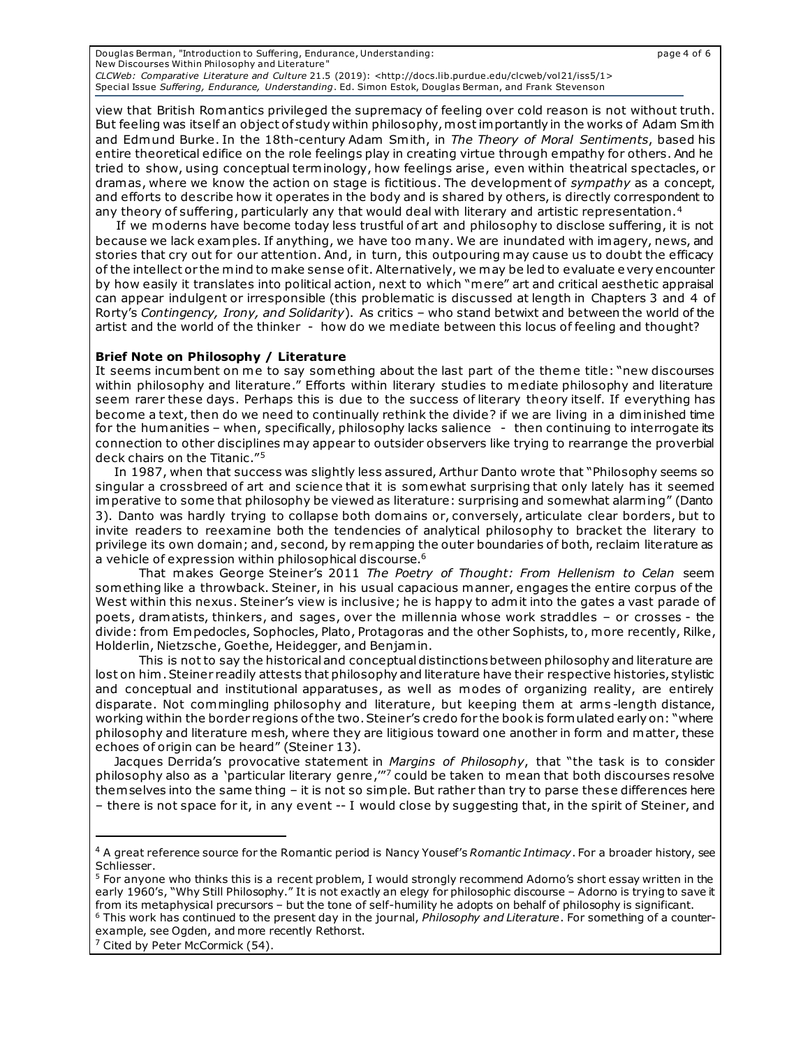Douglas Berman, "Introduction to Suffering, Endurance, Understanding: page 4 of 6 New Discourses Within Philosophy and Literature" *CLCWeb: Comparative Literature and Culture* 21.5 (2019): <http://docs.lib.purdue.edu/clcweb/vol21/iss5/1> Special Issue *Suffering, Endurance, Understanding*. Ed. Simon Estok, Douglas Berman, and Frank Stevenson

view that British Romantics privileged the supremacy of feeling over cold reason is not without truth. But feeling was itself an object of study within philosophy, most importantly in the works of Adam Smith and Edmund Burke. In the 18th-century Adam Smith, in *The Theory of Moral Sentiments*, based his entire theoretical edifice on the role feelings play in creating virtue through empathy for others. And he tried to show, using conceptual terminology, how feelings arise, even within theatrical spectacles, or dramas, where we know the action on stage is fictitious. The development of *sympathy* as a concept, and efforts to describe how it operates in the body and is shared by others, is directly correspondent to any theory of suffering, particularly any that would deal with literary and artistic representation.<sup>4</sup>

 If we moderns have become today less trustful of art and philosophy to disclose suffering, it is not because we lack examples. If anything, we have too many. We are inundated with imagery, news, and stories that cry out for our attention. And, in turn, this outpouring may cause us to doubt the efficacy of the intellect or the mind to make sense of it. Alternatively, we may be led to evaluate e very encounter by how easily it translates into political action, next to which "mere" art and critical aesthetic appraisal can appear indulgent or irresponsible (this problematic is discussed at length in Chapters 3 and 4 of Rorty's *Contingency, Irony, and Solidarity*). As critics – who stand betwixt and between the world of the artist and the world of the thinker - how do we mediate between this locus of feeling and thought?

#### **Brief Note on Philosophy / Literature**

It seems incumbent on me to say something about the last part of the theme title: "new discourses within philosophy and literature." Efforts within literary studies to mediate philosophy and literature seem rarer these days. Perhaps this is due to the success of literary theory itself. If everything has become a text, then do we need to continually rethink the divide? if we are living in a diminished time for the humanities - when, specifically, philosophy lacks salience - then continuing to interrogate its connection to other disciplines may appear to outsider observers like trying to rearrange the proverbial deck chairs on the Titanic."<sup>5</sup>

In 1987, when that success was slightly less assured, Arthur Danto wrote that "Philosophy seems so singular a crossbreed of art and science that it is somewhat surprising that only lately has it seemed imperative to some that philosophy be viewed as literature: surprising and somewhat alarming" (Danto 3). Danto was hardly trying to collapse both domains or, conversely, articulate clear borders, but to invite readers to reexamine both the tendencies of analytical philosophy to bracket the literary to privilege its own domain; and, second, by remapping the outer boundaries of both, reclaim literature as a vehicle of expression within philosophical discourse.<sup>6</sup>

 That makes George Steiner's 2011 *The Poetry of Thought: From Hellenism to Celan* seem something like a throwback. Steiner, in his usual capacious manner, engages the entire corpus of the West within this nexus. Steiner's view is inclusive; he is happy to admit into the gates a vast parade of poets, dramatists, thinkers, and sages, over the millennia whose work straddles – or crosses - the divide: from Empedocles, Sophocles, Plato, Protagoras and the other Sophists, to, more recently, Rilke, Holderlin, Nietzsche, Goethe, Heidegger, and Benjamin.

 This is not to say the historical and conceptual distinctions between philosophy and literature are lost on him . Steiner readily attests that philosophy and literature have their respective histories, stylistic and conceptual and institutional apparatuses, as well as modes of organizing reality, are entirely disparate. Not commingling philosophy and literature, but keeping them at arms-length distance, working within the border regions of the two. Steiner's credo for the book is formulated early on: "where philosophy and literature mesh, where they are litigious toward one another in form and matter, these echoes of origin can be heard" (Steiner 13).

Jacques Derrida's provocative statement in *Margins of Philosophy*, that "the task is to consider philosophy also as a `particular literary genre,'" $^7$  could be taken to mean that both discourses resolve them selves into the same thing – it is not so simple. But rather than try to parse these differences here – there is not space for it, in any event -- I would close by suggesting that, in the spirit of Steiner, and

<sup>4</sup> A great reference source for the Romantic period is Nancy Yousef's *Romantic Intimacy*. For a broader history, see Schliesser.

<sup>&</sup>lt;sup>5</sup> For anyone who thinks this is a recent problem, I would strongly recommend Adorno's short essay written in the early 1960's, "Why Still Philosophy." It is not exactly an elegy for philosophic discourse – Adorno is trying to save it from its metaphysical precursors – but the tone of self-humility he adopts on behalf of philosophy is significant. <sup>6</sup> This work has continued to the present day in the journal, *Philosophy and Literature*. For something of a counter-

example, see Ogden, and more recently Rethorst.

<sup>&</sup>lt;sup>7</sup> Cited by Peter McCormick (54).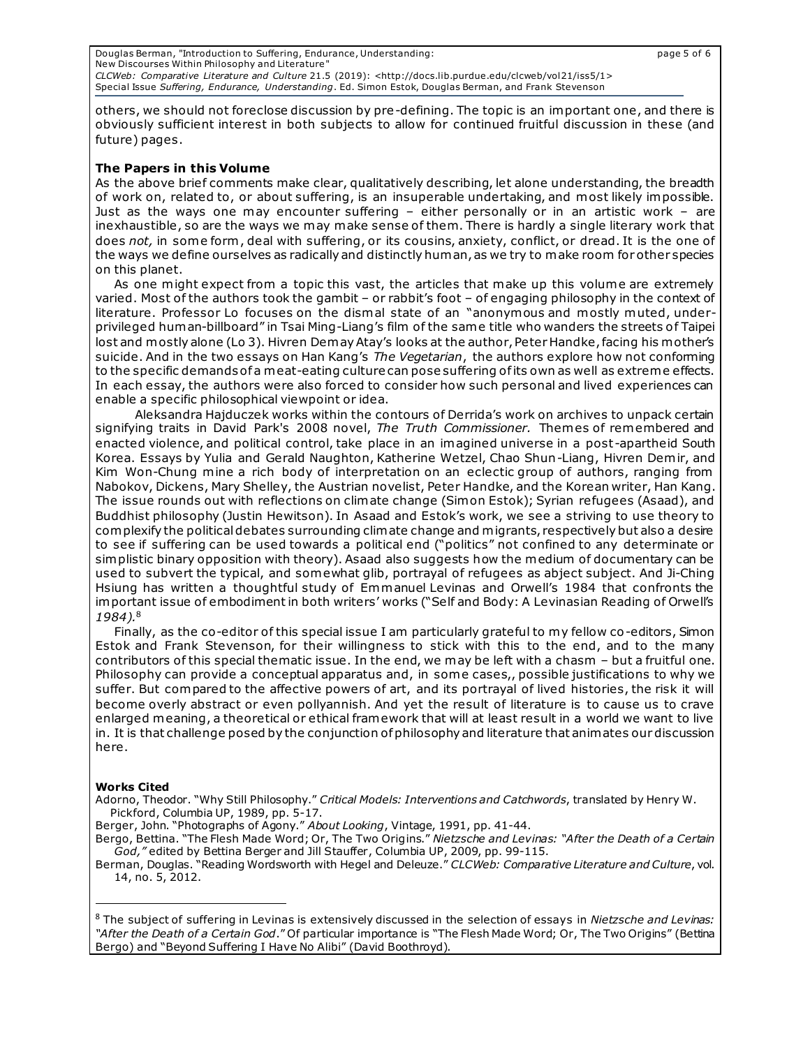Douglas Berman, "Introduction to Suffering, Endurance, Understanding: page 5 of 6 New Discourses Within Philosophy and Literature" *CLCWeb: Comparative Literature and Culture* 21.5 (2019): <http://docs.lib.purdue.edu/clcweb/vol21/iss5/1> Special Issue *Suffering, Endurance, Understanding*. Ed. Simon Estok, Douglas Berman, and Frank Stevenson

others, we should not foreclose discussion by pre-defining. The topic is an important one, and there is obviously sufficient interest in both subjects to allow for continued fruitful discussion in these (and future) pages.

### **The Papers in this Volume**

As the above brief comments make clear, qualitatively describing, let alone understanding, the breadth of work on, related to, or about suffering, is an insuperable undertaking, and most likely impossible. Just as the ways one may encounter suffering – either personally or in an artistic work – are inexhaustible, so are the ways we may make sense of them. There is hardly a single literary work that does *not,* in some form , deal with suffering, or its cousins, anxiety, conflict, or dread. It is the one of the ways we define ourselves as radically and distinctly human, as we try to make room for other species on this planet.

As one might expect from a topic this vast, the articles that make up this volume are extremely varied. Most of the authors took the gambit – or rabbit's foot – of engaging philosophy in the context of literature. Professor Lo focuses on the dismal state of an "anonymous and mostly muted, underprivileged human-billboard" in Tsai Ming-Liang's film of the same title who wanders the streets of Taipei lost and mostly alone (Lo 3). Hivren Demay Atay's looks at the author, Peter Handke, facing his mother's suicide. And in the two essays on Han Kang's *The Vegetarian*, the authors explore how not conforming to the specific demands of a meat-eating culture can pose suffering of its own as well as extreme effects. In each essay, the authors were also forced to consider how such personal and lived experiences can enable a specific philosophical viewpoint or idea.

 Aleksandra Hajduczek works within the contours of Derrida's work on archives to unpack certain signifying traits in David Park's 2008 novel, *The Truth Commissioner.* Themes of remembered and enacted violence, and political control, take place in an imagined universe in a post -apartheid South Korea. Essays by Yulia and Gerald Naughton, Katherine Wetzel, Chao Shun-Liang, Hivren Demir, and Kim Won-Chung mine a rich body of interpretation on an eclectic group of authors, ranging from Nabokov, Dickens, Mary Shelley, the Austrian novelist, Peter Handke, and the Korean writer, Han Kang. The issue rounds out with reflections on climate change (Simon Estok); Syrian refugees (Asaad), and Buddhist philosophy (Justin Hewitson). In Asaad and Estok's work, we see a striving to use theory to complexify the political debates surrounding climate change and migrants, respectively but also a desire to see if suffering can be used towards a political end ("politics" not confined to any determinate or simplistic binary opposition with theory). Asaad also suggests how the medium of documentary can be used to subvert the typical, and somewhat glib, portrayal of refugees as abject subject. And Ji-Ching Hsiung has written a thoughtful study of Emmanuel Levinas and Orwell's 1984 that confronts the important issue of embodiment in both writers' works ("Self and Body: A Levinasian Reading of Orwell's *1984).*<sup>8</sup>

Finally, as the co-editor of this special issue I am particularly grateful to my fellow co-editors, Simon Estok and Frank Stevenson, for their willingness to stick with this to the end, and to the many contributors of this special thematic issue. In the end, we may be left with a chasm – but a fruitful one. Philosophy can provide a conceptual apparatus and, in some cases,, possible justifications to why we suffer. But compared to the affective powers of art, and its portrayal of lived histories, the risk it will become overly abstract or even pollyannish. And yet the result of literature is to cause us to crave enlarged meaning, a theoretical or ethical framework that will at least result in a world we want to live in. It is that challenge posed by the conjunction of philosophy and literature that animates our discussion here.

#### **Works Cited**

Adorno, Theodor. "Why Still Philosophy." *Critical Models: Interventions and Catchwords*, translated by Henry W. Pickford, Columbia UP, 1989, pp. 5-17.

Berger, John. "Photographs of Agony." *About Looking*, Vintage, 1991, pp. 41-44.

Bergo, Bettina. "The Flesh Made Word; Or, The Two Origins." *Nietzsche and Levinas: "After the Death of a Certain God,"* edited by Bettina Berger and Jill Stauffer, Columbia UP, 2009, pp. 99-115.

Berman, Douglas. "Reading Wordsworth with Hegel and Deleuze." *CLCWeb: Comparative Literature and Culture*, vol. 14, no. 5, 2012.

8 The subject of suffering in Levinas is extensively discussed in the selection of essays in *Nietzsche and Levinas: "After the Death of a Certain God*." Of particular importance is "The Flesh Made Word; Or, The Two Origins" (Bettina Bergo) and "Beyond Suffering I Have No Alibi" (David Boothroyd).